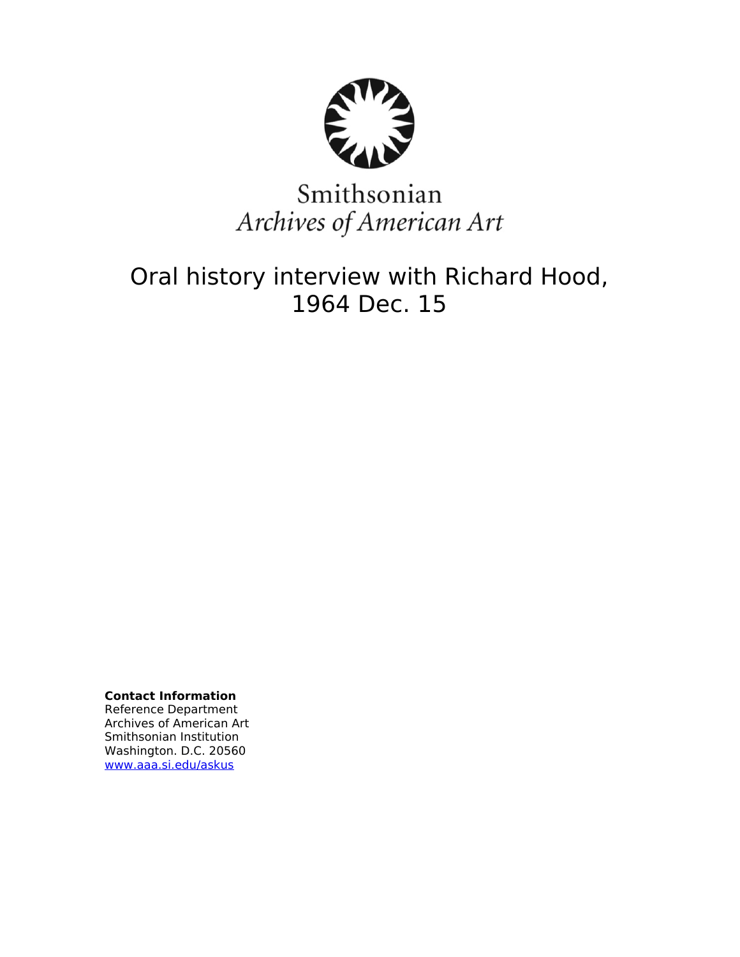

# Smithsonian Archives of American Art

Oral history interview with Richard Hood, 1964 Dec. 15

**Contact Information** Reference Department Archives of American Art Smithsonian Institution Washington. D.C. 20560 [www.aaa.si.edu/askus](http://www.aaa.si.edu/askus)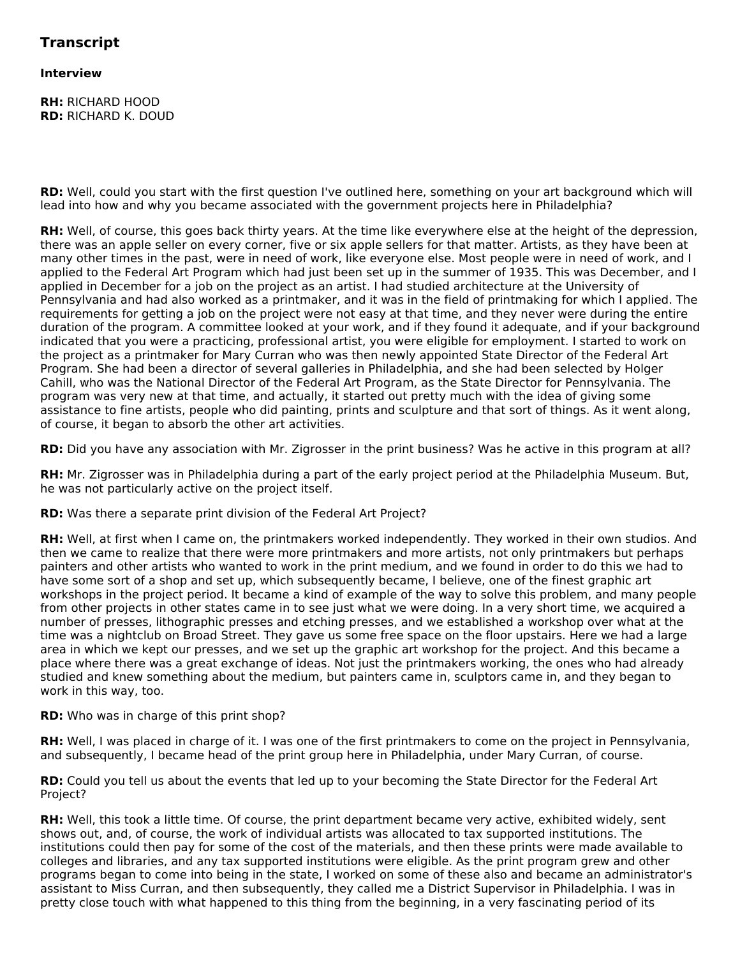# **Transcript**

## **Interview**

**RH:** RICHARD HOOD **RD:** RICHARD K. DOUD

**RD:** Well, could you start with the first question I've outlined here, something on your art background which will lead into how and why you became associated with the government projects here in Philadelphia?

**RH:** Well, of course, this goes back thirty years. At the time like everywhere else at the height of the depression, there was an apple seller on every corner, five or six apple sellers for that matter. Artists, as they have been at many other times in the past, were in need of work, like everyone else. Most people were in need of work, and I applied to the Federal Art Program which had just been set up in the summer of 1935. This was December, and I applied in December for a job on the project as an artist. I had studied architecture at the University of Pennsylvania and had also worked as a printmaker, and it was in the field of printmaking for which I applied. The requirements for getting a job on the project were not easy at that time, and they never were during the entire duration of the program. A committee looked at your work, and if they found it adequate, and if your background indicated that you were a practicing, professional artist, you were eligible for employment. I started to work on the project as a printmaker for Mary Curran who was then newly appointed State Director of the Federal Art Program. She had been a director of several galleries in Philadelphia, and she had been selected by Holger Cahill, who was the National Director of the Federal Art Program, as the State Director for Pennsylvania. The program was very new at that time, and actually, it started out pretty much with the idea of giving some assistance to fine artists, people who did painting, prints and sculpture and that sort of things. As it went along, of course, it began to absorb the other art activities.

**RD:** Did you have any association with Mr. Zigrosser in the print business? Was he active in this program at all?

**RH:** Mr. Zigrosser was in Philadelphia during a part of the early project period at the Philadelphia Museum. But, he was not particularly active on the project itself.

**RD:** Was there a separate print division of the Federal Art Project?

**RH:** Well, at first when I came on, the printmakers worked independently. They worked in their own studios. And then we came to realize that there were more printmakers and more artists, not only printmakers but perhaps painters and other artists who wanted to work in the print medium, and we found in order to do this we had to have some sort of a shop and set up, which subsequently became, I believe, one of the finest graphic art workshops in the project period. It became a kind of example of the way to solve this problem, and many people from other projects in other states came in to see just what we were doing. In a very short time, we acquired a number of presses, lithographic presses and etching presses, and we established a workshop over what at the time was a nightclub on Broad Street. They gave us some free space on the floor upstairs. Here we had a large area in which we kept our presses, and we set up the graphic art workshop for the project. And this became a place where there was a great exchange of ideas. Not just the printmakers working, the ones who had already studied and knew something about the medium, but painters came in, sculptors came in, and they began to work in this way, too.

**RD:** Who was in charge of this print shop?

**RH:** Well, I was placed in charge of it. I was one of the first printmakers to come on the project in Pennsylvania, and subsequently, I became head of the print group here in Philadelphia, under Mary Curran, of course.

**RD:** Could you tell us about the events that led up to your becoming the State Director for the Federal Art Project?

**RH:** Well, this took a little time. Of course, the print department became very active, exhibited widely, sent shows out, and, of course, the work of individual artists was allocated to tax supported institutions. The institutions could then pay for some of the cost of the materials, and then these prints were made available to colleges and libraries, and any tax supported institutions were eligible. As the print program grew and other programs began to come into being in the state, I worked on some of these also and became an administrator's assistant to Miss Curran, and then subsequently, they called me a District Supervisor in Philadelphia. I was in pretty close touch with what happened to this thing from the beginning, in a very fascinating period of its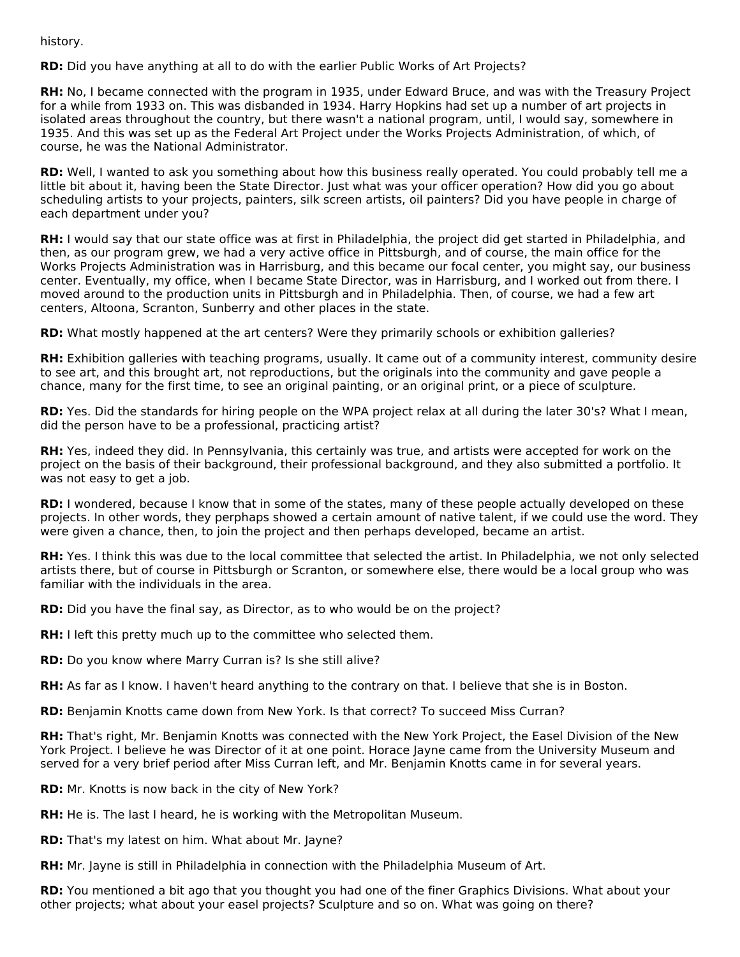history.

**RD:** Did you have anything at all to do with the earlier Public Works of Art Projects?

**RH:** No, I became connected with the program in 1935, under Edward Bruce, and was with the Treasury Project for a while from 1933 on. This was disbanded in 1934. Harry Hopkins had set up a number of art projects in isolated areas throughout the country, but there wasn't a national program, until, I would say, somewhere in 1935. And this was set up as the Federal Art Project under the Works Projects Administration, of which, of course, he was the National Administrator.

**RD:** Well, I wanted to ask you something about how this business really operated. You could probably tell me a little bit about it, having been the State Director. Just what was your officer operation? How did you go about scheduling artists to your projects, painters, silk screen artists, oil painters? Did you have people in charge of each department under you?

**RH:** I would say that our state office was at first in Philadelphia, the project did get started in Philadelphia, and then, as our program grew, we had a very active office in Pittsburgh, and of course, the main office for the Works Projects Administration was in Harrisburg, and this became our focal center, you might say, our business center. Eventually, my office, when I became State Director, was in Harrisburg, and I worked out from there. I moved around to the production units in Pittsburgh and in Philadelphia. Then, of course, we had a few art centers, Altoona, Scranton, Sunberry and other places in the state.

**RD:** What mostly happened at the art centers? Were they primarily schools or exhibition galleries?

**RH:** Exhibition galleries with teaching programs, usually. It came out of a community interest, community desire to see art, and this brought art, not reproductions, but the originals into the community and gave people a chance, many for the first time, to see an original painting, or an original print, or a piece of sculpture.

**RD:** Yes. Did the standards for hiring people on the WPA project relax at all during the later 30's? What I mean, did the person have to be a professional, practicing artist?

**RH:** Yes, indeed they did. In Pennsylvania, this certainly was true, and artists were accepted for work on the project on the basis of their background, their professional background, and they also submitted a portfolio. It was not easy to get a job.

**RD:** I wondered, because I know that in some of the states, many of these people actually developed on these projects. In other words, they perphaps showed a certain amount of native talent, if we could use the word. They were given a chance, then, to join the project and then perhaps developed, became an artist.

**RH:** Yes. I think this was due to the local committee that selected the artist. In Philadelphia, we not only selected artists there, but of course in Pittsburgh or Scranton, or somewhere else, there would be a local group who was familiar with the individuals in the area.

**RD:** Did you have the final say, as Director, as to who would be on the project?

**RH:** I left this pretty much up to the committee who selected them.

**RD:** Do you know where Marry Curran is? Is she still alive?

**RH:** As far as I know. I haven't heard anything to the contrary on that. I believe that she is in Boston.

**RD:** Benjamin Knotts came down from New York. Is that correct? To succeed Miss Curran?

**RH:** That's right, Mr. Benjamin Knotts was connected with the New York Project, the Easel Division of the New York Project. I believe he was Director of it at one point. Horace Jayne came from the University Museum and served for a very brief period after Miss Curran left, and Mr. Benjamin Knotts came in for several years.

**RD:** Mr. Knotts is now back in the city of New York?

**RH:** He is. The last I heard, he is working with the Metropolitan Museum.

**RD:** That's my latest on him. What about Mr. Jayne?

**RH:** Mr. Jayne is still in Philadelphia in connection with the Philadelphia Museum of Art.

**RD:** You mentioned a bit ago that you thought you had one of the finer Graphics Divisions. What about your other projects; what about your easel projects? Sculpture and so on. What was going on there?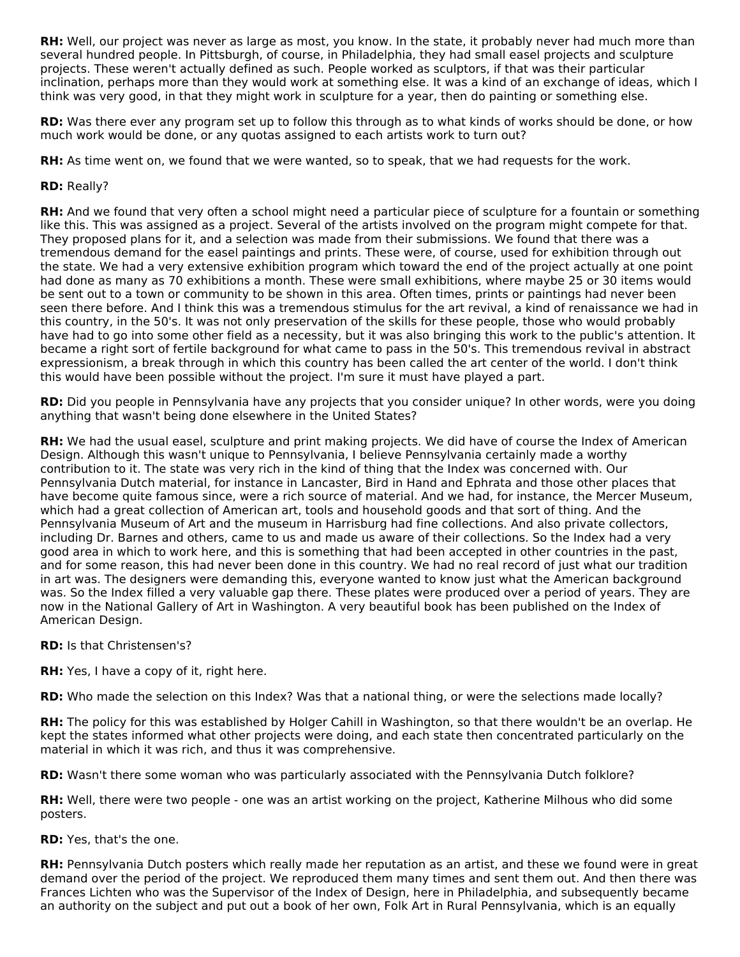**RH:** Well, our project was never as large as most, you know. In the state, it probably never had much more than several hundred people. In Pittsburgh, of course, in Philadelphia, they had small easel projects and sculpture projects. These weren't actually defined as such. People worked as sculptors, if that was their particular inclination, perhaps more than they would work at something else. It was a kind of an exchange of ideas, which I think was very good, in that they might work in sculpture for a year, then do painting or something else.

**RD:** Was there ever any program set up to follow this through as to what kinds of works should be done, or how much work would be done, or any quotas assigned to each artists work to turn out?

**RH:** As time went on, we found that we were wanted, so to speak, that we had requests for the work.

## **RD:** Really?

**RH:** And we found that very often a school might need a particular piece of sculpture for a fountain or something like this. This was assigned as a project. Several of the artists involved on the program might compete for that. They proposed plans for it, and a selection was made from their submissions. We found that there was a tremendous demand for the easel paintings and prints. These were, of course, used for exhibition through out the state. We had a very extensive exhibition program which toward the end of the project actually at one point had done as many as 70 exhibitions a month. These were small exhibitions, where maybe 25 or 30 items would be sent out to a town or community to be shown in this area. Often times, prints or paintings had never been seen there before. And I think this was a tremendous stimulus for the art revival, a kind of renaissance we had in this country, in the 50's. It was not only preservation of the skills for these people, those who would probably have had to go into some other field as a necessity, but it was also bringing this work to the public's attention. It became a right sort of fertile background for what came to pass in the 50's. This tremendous revival in abstract expressionism, a break through in which this country has been called the art center of the world. I don't think this would have been possible without the project. I'm sure it must have played a part.

**RD:** Did you people in Pennsylvania have any projects that you consider unique? In other words, were you doing anything that wasn't being done elsewhere in the United States?

**RH:** We had the usual easel, sculpture and print making projects. We did have of course the Index of American Design. Although this wasn't unique to Pennsylvania, I believe Pennsylvania certainly made a worthy contribution to it. The state was very rich in the kind of thing that the Index was concerned with. Our Pennsylvania Dutch material, for instance in Lancaster, Bird in Hand and Ephrata and those other places that have become quite famous since, were a rich source of material. And we had, for instance, the Mercer Museum, which had a great collection of American art, tools and household goods and that sort of thing. And the Pennsylvania Museum of Art and the museum in Harrisburg had fine collections. And also private collectors, including Dr. Barnes and others, came to us and made us aware of their collections. So the Index had a very good area in which to work here, and this is something that had been accepted in other countries in the past, and for some reason, this had never been done in this country. We had no real record of just what our tradition in art was. The designers were demanding this, everyone wanted to know just what the American background was. So the Index filled a very valuable gap there. These plates were produced over a period of years. They are now in the National Gallery of Art in Washington. A very beautiful book has been published on the Index of American Design.

#### **RD:** Is that Christensen's?

**RH:** Yes, I have a copy of it, right here.

**RD:** Who made the selection on this Index? Was that a national thing, or were the selections made locally?

**RH:** The policy for this was established by Holger Cahill in Washington, so that there wouldn't be an overlap. He kept the states informed what other projects were doing, and each state then concentrated particularly on the material in which it was rich, and thus it was comprehensive.

**RD:** Wasn't there some woman who was particularly associated with the Pennsylvania Dutch folklore?

**RH:** Well, there were two people - one was an artist working on the project, Katherine Milhous who did some posters.

**RD:** Yes, that's the one.

**RH:** Pennsylvania Dutch posters which really made her reputation as an artist, and these we found were in great demand over the period of the project. We reproduced them many times and sent them out. And then there was Frances Lichten who was the Supervisor of the Index of Design, here in Philadelphia, and subsequently became an authority on the subject and put out a book of her own, Folk Art in Rural Pennsylvania, which is an equally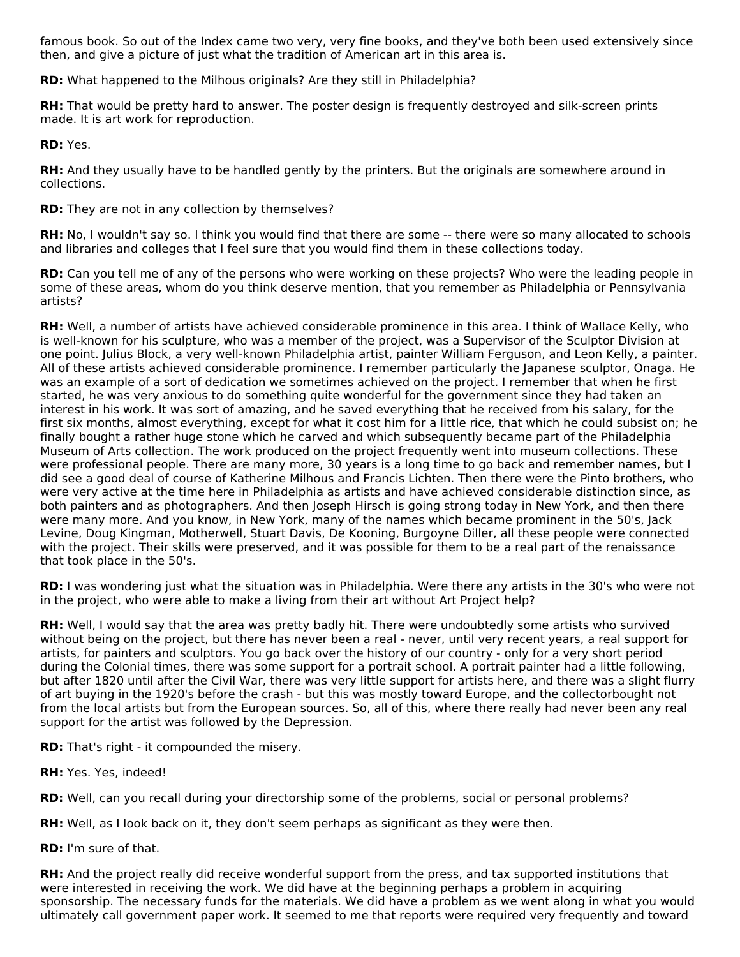famous book. So out of the Index came two very, very fine books, and they've both been used extensively since then, and give a picture of just what the tradition of American art in this area is.

**RD:** What happened to the Milhous originals? Are they still in Philadelphia?

**RH:** That would be pretty hard to answer. The poster design is frequently destroyed and silk-screen prints made. It is art work for reproduction.

**RD:** Yes.

**RH:** And they usually have to be handled gently by the printers. But the originals are somewhere around in collections.

**RD:** They are not in any collection by themselves?

**RH:** No, I wouldn't say so. I think you would find that there are some -- there were so many allocated to schools and libraries and colleges that I feel sure that you would find them in these collections today.

**RD:** Can you tell me of any of the persons who were working on these projects? Who were the leading people in some of these areas, whom do you think deserve mention, that you remember as Philadelphia or Pennsylvania artists?

**RH:** Well, a number of artists have achieved considerable prominence in this area. I think of Wallace Kelly, who is well-known for his sculpture, who was a member of the project, was a Supervisor of the Sculptor Division at one point. Julius Block, a very well-known Philadelphia artist, painter William Ferguson, and Leon Kelly, a painter. All of these artists achieved considerable prominence. I remember particularly the Japanese sculptor, Onaga. He was an example of a sort of dedication we sometimes achieved on the project. I remember that when he first started, he was very anxious to do something quite wonderful for the government since they had taken an interest in his work. It was sort of amazing, and he saved everything that he received from his salary, for the first six months, almost everything, except for what it cost him for a little rice, that which he could subsist on; he finally bought a rather huge stone which he carved and which subsequently became part of the Philadelphia Museum of Arts collection. The work produced on the project frequently went into museum collections. These were professional people. There are many more, 30 years is a long time to go back and remember names, but I did see a good deal of course of Katherine Milhous and Francis Lichten. Then there were the Pinto brothers, who were very active at the time here in Philadelphia as artists and have achieved considerable distinction since, as both painters and as photographers. And then Joseph Hirsch is going strong today in New York, and then there were many more. And you know, in New York, many of the names which became prominent in the 50's, Jack Levine, Doug Kingman, Motherwell, Stuart Davis, De Kooning, Burgoyne Diller, all these people were connected with the project. Their skills were preserved, and it was possible for them to be a real part of the renaissance that took place in the 50's.

**RD:** I was wondering just what the situation was in Philadelphia. Were there any artists in the 30's who were not in the project, who were able to make a living from their art without Art Project help?

**RH:** Well, I would say that the area was pretty badly hit. There were undoubtedly some artists who survived without being on the project, but there has never been a real - never, until very recent years, a real support for artists, for painters and sculptors. You go back over the history of our country - only for a very short period during the Colonial times, there was some support for a portrait school. A portrait painter had a little following, but after 1820 until after the Civil War, there was very little support for artists here, and there was a slight flurry of art buying in the 1920's before the crash - but this was mostly toward Europe, and the collectorbought not from the local artists but from the European sources. So, all of this, where there really had never been any real support for the artist was followed by the Depression.

**RD:** That's right - it compounded the misery.

**RH:** Yes. Yes, indeed!

**RD:** Well, can you recall during your directorship some of the problems, social or personal problems?

**RH:** Well, as I look back on it, they don't seem perhaps as significant as they were then.

**RD:** I'm sure of that.

**RH:** And the project really did receive wonderful support from the press, and tax supported institutions that were interested in receiving the work. We did have at the beginning perhaps a problem in acquiring sponsorship. The necessary funds for the materials. We did have a problem as we went along in what you would ultimately call government paper work. It seemed to me that reports were required very frequently and toward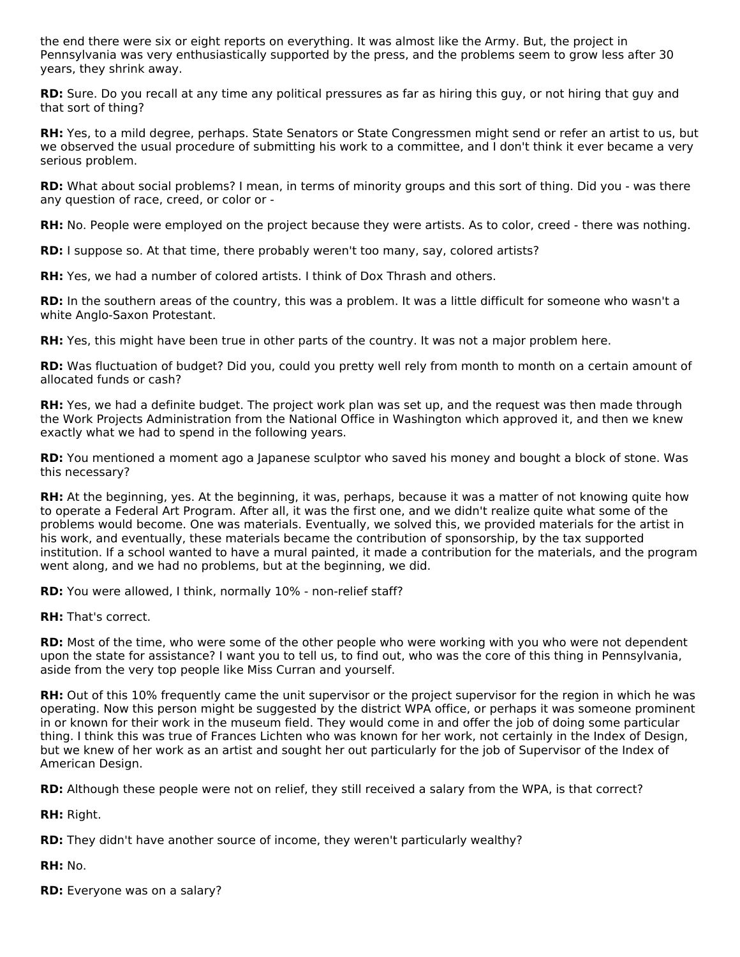the end there were six or eight reports on everything. It was almost like the Army. But, the project in Pennsylvania was very enthusiastically supported by the press, and the problems seem to grow less after 30 years, they shrink away.

**RD:** Sure. Do you recall at any time any political pressures as far as hiring this guy, or not hiring that guy and that sort of thing?

**RH:** Yes, to a mild degree, perhaps. State Senators or State Congressmen might send or refer an artist to us, but we observed the usual procedure of submitting his work to a committee, and I don't think it ever became a very serious problem.

**RD:** What about social problems? I mean, in terms of minority groups and this sort of thing. Did you - was there any question of race, creed, or color or -

**RH:** No. People were employed on the project because they were artists. As to color, creed - there was nothing.

**RD:** I suppose so. At that time, there probably weren't too many, say, colored artists?

**RH:** Yes, we had a number of colored artists. I think of Dox Thrash and others.

**RD:** In the southern areas of the country, this was a problem. It was a little difficult for someone who wasn't a white Anglo-Saxon Protestant.

**RH:** Yes, this might have been true in other parts of the country. It was not a major problem here.

**RD:** Was fluctuation of budget? Did you, could you pretty well rely from month to month on a certain amount of allocated funds or cash?

**RH:** Yes, we had a definite budget. The project work plan was set up, and the request was then made through the Work Projects Administration from the National Office in Washington which approved it, and then we knew exactly what we had to spend in the following years.

**RD:** You mentioned a moment ago a Japanese sculptor who saved his money and bought a block of stone. Was this necessary?

**RH:** At the beginning, yes. At the beginning, it was, perhaps, because it was a matter of not knowing quite how to operate a Federal Art Program. After all, it was the first one, and we didn't realize quite what some of the problems would become. One was materials. Eventually, we solved this, we provided materials for the artist in his work, and eventually, these materials became the contribution of sponsorship, by the tax supported institution. If a school wanted to have a mural painted, it made a contribution for the materials, and the program went along, and we had no problems, but at the beginning, we did.

**RD:** You were allowed, I think, normally 10% - non-relief staff?

**RH:** That's correct.

**RD:** Most of the time, who were some of the other people who were working with you who were not dependent upon the state for assistance? I want you to tell us, to find out, who was the core of this thing in Pennsylvania, aside from the very top people like Miss Curran and yourself.

**RH:** Out of this 10% frequently came the unit supervisor or the project supervisor for the region in which he was operating. Now this person might be suggested by the district WPA office, or perhaps it was someone prominent in or known for their work in the museum field. They would come in and offer the job of doing some particular thing. I think this was true of Frances Lichten who was known for her work, not certainly in the Index of Design, but we knew of her work as an artist and sought her out particularly for the job of Supervisor of the Index of American Design.

**RD:** Although these people were not on relief, they still received a salary from the WPA, is that correct?

**RH:** Right.

**RD:** They didn't have another source of income, they weren't particularly wealthy?

**RH:** No.

**RD:** Everyone was on a salary?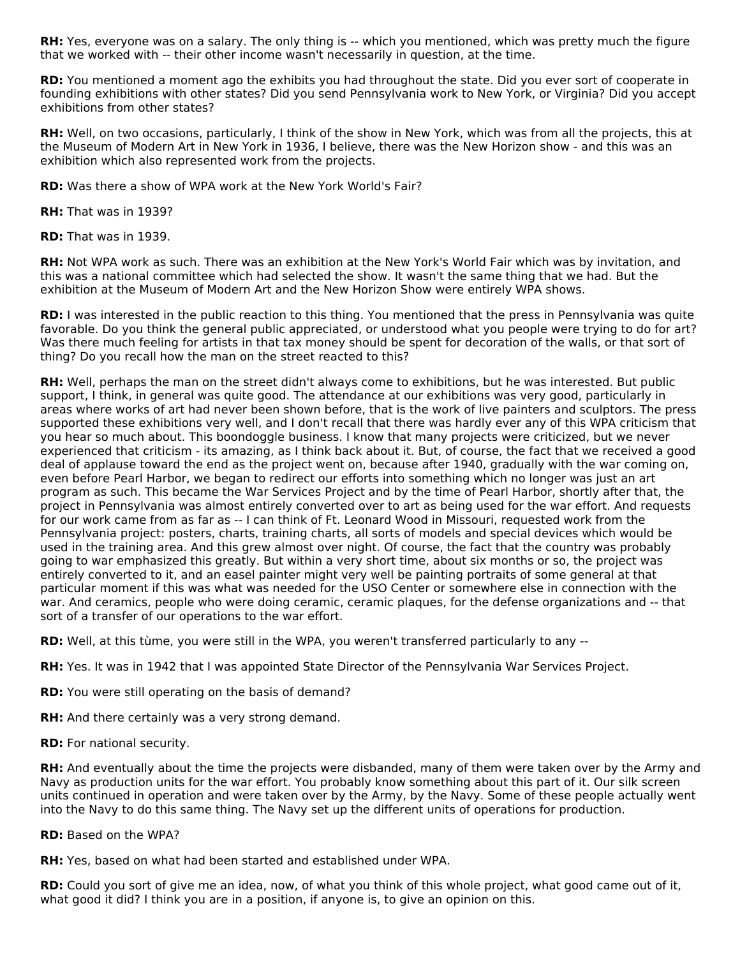**RH:** Yes, everyone was on a salary. The only thing is -- which you mentioned, which was pretty much the figure that we worked with -- their other income wasn't necessarily in question, at the time.

**RD:** You mentioned a moment ago the exhibits you had throughout the state. Did you ever sort of cooperate in founding exhibitions with other states? Did you send Pennsylvania work to New York, or Virginia? Did you accept exhibitions from other states?

**RH:** Well, on two occasions, particularly, I think of the show in New York, which was from all the projects, this at the Museum of Modern Art in New York in 1936, I believe, there was the New Horizon show - and this was an exhibition which also represented work from the projects.

**RD:** Was there a show of WPA work at the New York World's Fair?

**RH:** That was in 1939?

**RD:** That was in 1939.

**RH:** Not WPA work as such. There was an exhibition at the New York's World Fair which was by invitation, and this was a national committee which had selected the show. It wasn't the same thing that we had. But the exhibition at the Museum of Modern Art and the New Horizon Show were entirely WPA shows.

**RD:** I was interested in the public reaction to this thing. You mentioned that the press in Pennsylvania was quite favorable. Do you think the general public appreciated, or understood what you people were trying to do for art? Was there much feeling for artists in that tax money should be spent for decoration of the walls, or that sort of thing? Do you recall how the man on the street reacted to this?

**RH:** Well, perhaps the man on the street didn't always come to exhibitions, but he was interested. But public support, I think, in general was quite good. The attendance at our exhibitions was very good, particularly in areas where works of art had never been shown before, that is the work of live painters and sculptors. The press supported these exhibitions very well, and I don't recall that there was hardly ever any of this WPA criticism that you hear so much about. This boondoggle business. I know that many projects were criticized, but we never experienced that criticism - its amazing, as I think back about it. But, of course, the fact that we received a good deal of applause toward the end as the project went on, because after 1940, gradually with the war coming on, even before Pearl Harbor, we began to redirect our efforts into something which no longer was just an art program as such. This became the War Services Project and by the time of Pearl Harbor, shortly after that, the project in Pennsylvania was almost entirely converted over to art as being used for the war effort. And requests for our work came from as far as -- I can think of Ft. Leonard Wood in Missouri, requested work from the Pennsylvania project: posters, charts, training charts, all sorts of models and special devices which would be used in the training area. And this grew almost over night. Of course, the fact that the country was probably going to war emphasized this greatly. But within a very short time, about six months or so, the project was entirely converted to it, and an easel painter might very well be painting portraits of some general at that particular moment if this was what was needed for the USO Center or somewhere else in connection with the war. And ceramics, people who were doing ceramic, ceramic plaques, for the defense organizations and -- that sort of a transfer of our operations to the war effort.

**RD:** Well, at this tùme, you were still in the WPA, you weren't transferred particularly to any --

**RH:** Yes. It was in 1942 that I was appointed State Director of the Pennsylvania War Services Project.

**RD:** You were still operating on the basis of demand?

**RH:** And there certainly was a very strong demand.

**RD:** For national security.

**RH:** And eventually about the time the projects were disbanded, many of them were taken over by the Army and Navy as production units for the war effort. You probably know something about this part of it. Our silk screen units continued in operation and were taken over by the Army, by the Navy. Some of these people actually went into the Navy to do this same thing. The Navy set up the different units of operations for production.

**RD:** Based on the WPA?

**RH:** Yes, based on what had been started and established under WPA.

**RD:** Could you sort of give me an idea, now, of what you think of this whole project, what good came out of it, what good it did? I think you are in a position, if anyone is, to give an opinion on this.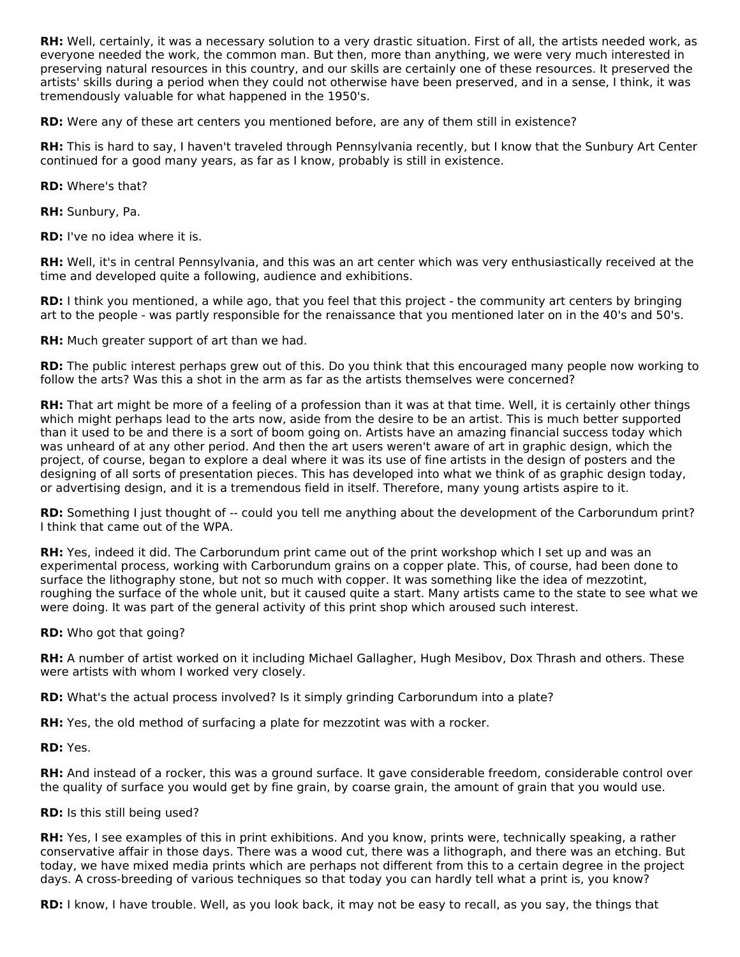**RH:** Well, certainly, it was a necessary solution to a very drastic situation. First of all, the artists needed work, as everyone needed the work, the common man. But then, more than anything, we were very much interested in preserving natural resources in this country, and our skills are certainly one of these resources. It preserved the artists' skills during a period when they could not otherwise have been preserved, and in a sense, I think, it was tremendously valuable for what happened in the 1950's.

**RD:** Were any of these art centers you mentioned before, are any of them still in existence?

**RH:** This is hard to say, I haven't traveled through Pennsylvania recently, but I know that the Sunbury Art Center continued for a good many years, as far as I know, probably is still in existence.

**RD:** Where's that?

**RH:** Sunbury, Pa.

**RD:** I've no idea where it is.

**RH:** Well, it's in central Pennsylvania, and this was an art center which was very enthusiastically received at the time and developed quite a following, audience and exhibitions.

**RD:** I think you mentioned, a while ago, that you feel that this project - the community art centers by bringing art to the people - was partly responsible for the renaissance that you mentioned later on in the 40's and 50's.

**RH:** Much greater support of art than we had.

**RD:** The public interest perhaps grew out of this. Do you think that this encouraged many people now working to follow the arts? Was this a shot in the arm as far as the artists themselves were concerned?

**RH:** That art might be more of a feeling of a profession than it was at that time. Well, it is certainly other things which might perhaps lead to the arts now, aside from the desire to be an artist. This is much better supported than it used to be and there is a sort of boom going on. Artists have an amazing financial success today which was unheard of at any other period. And then the art users weren't aware of art in graphic design, which the project, of course, began to explore a deal where it was its use of fine artists in the design of posters and the designing of all sorts of presentation pieces. This has developed into what we think of as graphic design today, or advertising design, and it is a tremendous field in itself. Therefore, many young artists aspire to it.

**RD:** Something I just thought of -- could you tell me anything about the development of the Carborundum print? I think that came out of the WPA.

**RH:** Yes, indeed it did. The Carborundum print came out of the print workshop which I set up and was an experimental process, working with Carborundum grains on a copper plate. This, of course, had been done to surface the lithography stone, but not so much with copper. It was something like the idea of mezzotint, roughing the surface of the whole unit, but it caused quite a start. Many artists came to the state to see what we were doing. It was part of the general activity of this print shop which aroused such interest.

**RD:** Who got that going?

**RH:** A number of artist worked on it including Michael Gallagher, Hugh Mesibov, Dox Thrash and others. These were artists with whom I worked very closely.

**RD:** What's the actual process involved? Is it simply grinding Carborundum into a plate?

**RH:** Yes, the old method of surfacing a plate for mezzotint was with a rocker.

**RD:** Yes.

**RH:** And instead of a rocker, this was a ground surface. It gave considerable freedom, considerable control over the quality of surface you would get by fine grain, by coarse grain, the amount of grain that you would use.

#### **RD:** Is this still being used?

**RH:** Yes, I see examples of this in print exhibitions. And you know, prints were, technically speaking, a rather conservative affair in those days. There was a wood cut, there was a lithograph, and there was an etching. But today, we have mixed media prints which are perhaps not different from this to a certain degree in the project days. A cross-breeding of various techniques so that today you can hardly tell what a print is, you know?

**RD:** I know, I have trouble. Well, as you look back, it may not be easy to recall, as you say, the things that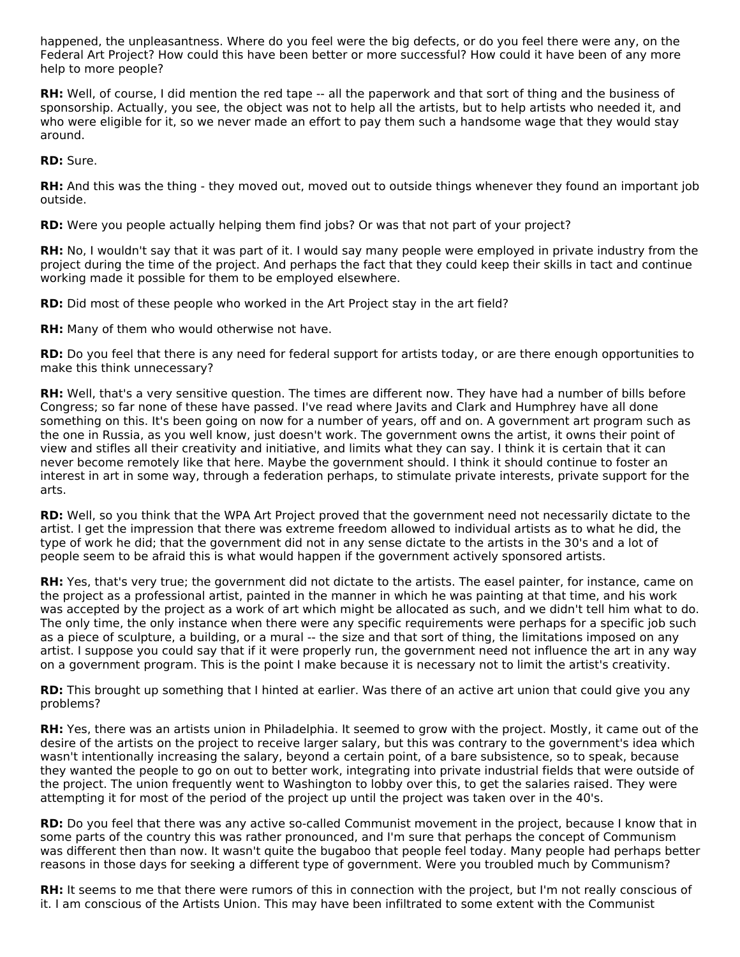happened, the unpleasantness. Where do you feel were the big defects, or do you feel there were any, on the Federal Art Project? How could this have been better or more successful? How could it have been of any more help to more people?

**RH:** Well, of course, I did mention the red tape -- all the paperwork and that sort of thing and the business of sponsorship. Actually, you see, the object was not to help all the artists, but to help artists who needed it, and who were eligible for it, so we never made an effort to pay them such a handsome wage that they would stay around.

**RD:** Sure.

**RH:** And this was the thing - they moved out, moved out to outside things whenever they found an important job outside.

**RD:** Were you people actually helping them find jobs? Or was that not part of your project?

**RH:** No, I wouldn't say that it was part of it. I would say many people were employed in private industry from the project during the time of the project. And perhaps the fact that they could keep their skills in tact and continue working made it possible for them to be employed elsewhere.

**RD:** Did most of these people who worked in the Art Project stay in the art field?

**RH:** Many of them who would otherwise not have.

**RD:** Do you feel that there is any need for federal support for artists today, or are there enough opportunities to make this think unnecessary?

**RH:** Well, that's a very sensitive question. The times are different now. They have had a number of bills before Congress; so far none of these have passed. I've read where Javits and Clark and Humphrey have all done something on this. It's been going on now for a number of years, off and on. A government art program such as the one in Russia, as you well know, just doesn't work. The government owns the artist, it owns their point of view and stifles all their creativity and initiative, and limits what they can say. I think it is certain that it can never become remotely like that here. Maybe the government should. I think it should continue to foster an interest in art in some way, through a federation perhaps, to stimulate private interests, private support for the arts.

**RD:** Well, so you think that the WPA Art Project proved that the government need not necessarily dictate to the artist. I get the impression that there was extreme freedom allowed to individual artists as to what he did, the type of work he did; that the government did not in any sense dictate to the artists in the 30's and a lot of people seem to be afraid this is what would happen if the government actively sponsored artists.

**RH:** Yes, that's very true; the government did not dictate to the artists. The easel painter, for instance, came on the project as a professional artist, painted in the manner in which he was painting at that time, and his work was accepted by the project as a work of art which might be allocated as such, and we didn't tell him what to do. The only time, the only instance when there were any specific requirements were perhaps for a specific job such as a piece of sculpture, a building, or a mural -- the size and that sort of thing, the limitations imposed on any artist. I suppose you could say that if it were properly run, the government need not influence the art in any way on a government program. This is the point I make because it is necessary not to limit the artist's creativity.

**RD:** This brought up something that I hinted at earlier. Was there of an active art union that could give you any problems?

**RH:** Yes, there was an artists union in Philadelphia. It seemed to grow with the project. Mostly, it came out of the desire of the artists on the project to receive larger salary, but this was contrary to the government's idea which wasn't intentionally increasing the salary, beyond a certain point, of a bare subsistence, so to speak, because they wanted the people to go on out to better work, integrating into private industrial fields that were outside of the project. The union frequently went to Washington to lobby over this, to get the salaries raised. They were attempting it for most of the period of the project up until the project was taken over in the 40's.

**RD:** Do you feel that there was any active so-called Communist movement in the project, because I know that in some parts of the country this was rather pronounced, and I'm sure that perhaps the concept of Communism was different then than now. It wasn't quite the bugaboo that people feel today. Many people had perhaps better reasons in those days for seeking a different type of government. Were you troubled much by Communism?

**RH:** It seems to me that there were rumors of this in connection with the project, but I'm not really conscious of it. I am conscious of the Artists Union. This may have been infiltrated to some extent with the Communist